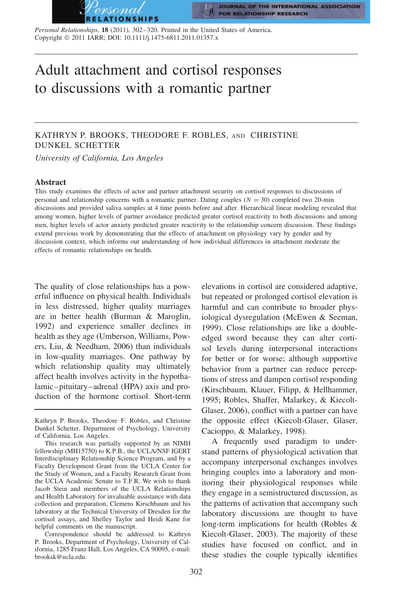

*Personal Relationships*, **18** (2011), 302–320. Printed in the United States of America. Copyright © 2011 IARR; DOI: 10.1111/j.1475-6811.2011.01357.x

# Adult attachment and cortisol responses to discussions with a romantic partner

## KATHRYN P. BROOKS, THEODORE F. ROBLES, AND CHRISTINE DUNKEL SCHETTER

*University of California, Los Angeles*

#### **Abstract**

This study examines the effects of actor and partner attachment security on cortisol responses to discussions of personal and relationship concerns with a romantic partner. Dating couples (*N* = 30) completed two 20-min discussions and provided saliva samples at 4 time points before and after. Hierarchical linear modeling revealed that among women, higher levels of partner avoidance predicted greater cortisol reactivity to both discussions and among men, higher levels of actor anxiety predicted greater reactivity to the relationship concern discussion. These findings extend previous work by demonstrating that the effects of attachment on physiology vary by gender and by discussion context, which informs our understanding of how individual differences in attachment moderate the effects of romantic relationships on health.

The quality of close relationships has a powerful influence on physical health. Individuals in less distressed, higher quality marriages are in better health (Burman & Maroglin, 1992) and experience smaller declines in health as they age (Umberson, Williams, Powers, Liu, & Needham, 2006) than individuals in low-quality marriages. One pathway by which relationship quality may ultimately affect health involves activity in the hypothalamic–pituitary–adrenal (HPA) axis and production of the hormone cortisol. Short-term

Correspondence should be addressed to Kathryn P. Brooks, Department of Psychology, University of California, 1285 Franz Hall, Los Angeles, CA 90095, e-mail: brooksk@ucla.edu.

elevations in cortisol are considered adaptive, but repeated or prolonged cortisol elevation is harmful and can contribute to broader physiological dysregulation (McEwen & Seeman, 1999). Close relationships are like a doubleedged sword because they can alter cortisol levels during interpersonal interactions for better or for worse; although supportive behavior from a partner can reduce perceptions of stress and dampen cortisol responding (Kirschbaum, Klauer, Filipp, & Hellhammer, 1995; Robles, Shaffer, Malarkey, & Kiecolt-Glaser, 2006), conflict with a partner can have the opposite effect (Kiecolt-Glaser, Glaser, Cacioppo, & Malarkey, 1998).

A frequently used paradigm to understand patterns of physiological activation that accompany interpersonal exchanges involves bringing couples into a laboratory and monitoring their physiological responses while they engage in a semistructured discussion, as the patterns of activation that accompany such laboratory discussions are thought to have long-term implications for health (Robles & Kiecolt-Glaser, 2003). The majority of these studies have focused on conflict, and in these studies the couple typically identifies

Kathryn P. Brooks, Theodore F. Robles, and Christine Dunkel Schetter, Department of Psychology, University of California, Los Angeles.

This research was partially supported by an NIMH fellowship (MH15750) to K.P.B., the UCLA/NSF IGERT Interdisciplinary Relationship Science Program, and by a Faculty Development Grant from the UCLA Center for the Study of Women, and a Faculty Research Grant from the UCLA Academic Senate to T.F.R. We wish to thank Jacob Stein and members of the UCLA Relationships and Health Laboratory for invaluable assistance with data collection and preparation, Clemens Kirschbaum and his laboratory at the Technical University of Dresden for the cortisol assays, and Shelley Taylor and Heidi Kane for helpful comments on the manuscript.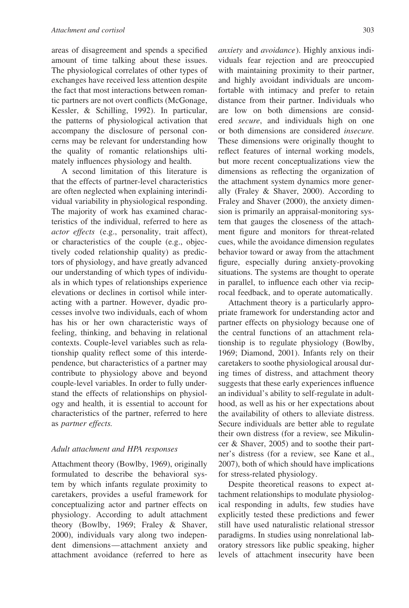areas of disagreement and spends a specified amount of time talking about these issues. The physiological correlates of other types of exchanges have received less attention despite the fact that most interactions between romantic partners are not overt conflicts (McGonage, Kessler, & Schilling, 1992). In particular, the patterns of physiological activation that accompany the disclosure of personal concerns may be relevant for understanding how the quality of romantic relationships ultimately influences physiology and health.

A second limitation of this literature is that the effects of partner-level characteristics are often neglected when explaining interindividual variability in physiological responding. The majority of work has examined characteristics of the individual, referred to here as *actor effects* (e.g., personality, trait affect), or characteristics of the couple (e.g., objectively coded relationship quality) as predictors of physiology, and have greatly advanced our understanding of which types of individuals in which types of relationships experience elevations or declines in cortisol while interacting with a partner. However, dyadic processes involve two individuals, each of whom has his or her own characteristic ways of feeling, thinking, and behaving in relational contexts. Couple-level variables such as relationship quality reflect some of this interdependence, but characteristics of a partner may contribute to physiology above and beyond couple-level variables. In order to fully understand the effects of relationships on physiology and health, it is essential to account for characteristics of the partner, referred to here as *partner effects.*

#### *Adult attachment and HPA responses*

Attachment theory (Bowlby, 1969), originally formulated to describe the behavioral system by which infants regulate proximity to caretakers, provides a useful framework for conceptualizing actor and partner effects on physiology. According to adult attachment theory (Bowlby, 1969; Fraley & Shaver, 2000), individuals vary along two independent dimensions—attachment anxiety and attachment avoidance (referred to here as

*anxiety* and *avoidance*). Highly anxious individuals fear rejection and are preoccupied with maintaining proximity to their partner, and highly avoidant individuals are uncomfortable with intimacy and prefer to retain distance from their partner. Individuals who are low on both dimensions are considered *secure*, and individuals high on one or both dimensions are considered *insecure.* These dimensions were originally thought to reflect features of internal working models, but more recent conceptualizations view the dimensions as reflecting the organization of the attachment system dynamics more generally (Fraley & Shaver, 2000). According to Fraley and Shaver (2000), the anxiety dimension is primarily an appraisal-monitoring system that gauges the closeness of the attachment figure and monitors for threat-related cues, while the avoidance dimension regulates behavior toward or away from the attachment figure, especially during anxiety-provoking situations. The systems are thought to operate in parallel, to influence each other via reciprocal feedback, and to operate automatically.

Attachment theory is a particularly appropriate framework for understanding actor and partner effects on physiology because one of the central functions of an attachment relationship is to regulate physiology (Bowlby, 1969; Diamond, 2001). Infants rely on their caretakers to soothe physiological arousal during times of distress, and attachment theory suggests that these early experiences influence an individual's ability to self-regulate in adulthood, as well as his or her expectations about the availability of others to alleviate distress. Secure individuals are better able to regulate their own distress (for a review, see Mikulincer & Shaver, 2005) and to soothe their partner's distress (for a review, see Kane et al., 2007), both of which should have implications for stress-related physiology.

Despite theoretical reasons to expect attachment relationships to modulate physiological responding in adults, few studies have explicitly tested these predictions and fewer still have used naturalistic relational stressor paradigms. In studies using nonrelational laboratory stressors like public speaking, higher levels of attachment insecurity have been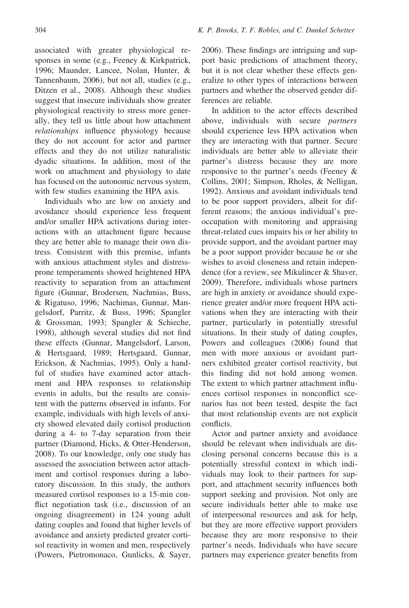associated with greater physiological responses in some (e.g., Feeney & Kirkpatrick, 1996; Maunder, Lancee, Nolan, Hunter, & Tannenbaum, 2006), but not all, studies (e.g., Ditzen et al., 2008). Although these studies suggest that insecure individuals show greater physiological reactivity to stress more generally, they tell us little about how attachment *relationships* influence physiology because they do not account for actor and partner effects and they do not utilize naturalistic

dyadic situations. In addition, most of the work on attachment and physiology to date has focused on the autonomic nervous system, with few studies examining the HPA axis.

Individuals who are low on anxiety and avoidance should experience less frequent and/or smaller HPA activations during interactions with an attachment figure because they are better able to manage their own distress. Consistent with this premise, infants with anxious attachment styles and distressprone temperaments showed heightened HPA reactivity to separation from an attachment figure (Gunnar, Brodersen, Nachmias, Buss, & Rigatuso, 1996; Nachimas, Gunnar, Mangelsdorf, Parritz, & Buss, 1996; Spangler & Grossman, 1993; Spangler & Schieche, 1998), although several studies did not find these effects (Gunnar, Mangelsdorf, Larson, & Hertsgaard, 1989; Hertsgaard, Gunnar, Erickson, & Nachmias, 1995). Only a handful of studies have examined actor attachment and HPA responses to relationship events in adults, but the results are consistent with the patterns observed in infants. For example, individuals with high levels of anxiety showed elevated daily cortisol production during a 4- to 7-day separation from their partner (Diamond, Hicks, & Otter-Henderson, 2008). To our knowledge, only one study has assessed the association between actor attachment and cortisol responses during a laboratory discussion. In this study, the authors measured cortisol responses to a 15-min conflict negotiation task (i.e., discussion of an ongoing disagreement) in 124 young adult dating couples and found that higher levels of avoidance and anxiety predicted greater cortisol reactivity in women and men, respectively (Powers, Pietromonaco, Gunlicks, & Sayer, 2006). These findings are intriguing and support basic predictions of attachment theory, but it is not clear whether these effects generalize to other types of interactions between partners and whether the observed gender differences are reliable.

In addition to the actor effects described above, individuals with secure *partners* should experience less HPA activation when they are interacting with that partner. Secure individuals are better able to alleviate their partner's distress because they are more responsive to the partner's needs (Feeney & Collins, 2001; Simpson, Rholes, & Nelligan, 1992). Anxious and avoidant individuals tend to be poor support providers, albeit for different reasons; the anxious individual's preoccupation with monitoring and appraising threat-related cues impairs his or her ability to provide support, and the avoidant partner may be a poor support provider because he or she wishes to avoid closeness and retain independence (for a review, see Mikulincer & Shaver, 2009). Therefore, individuals whose partners are high in anxiety or avoidance should experience greater and/or more frequent HPA activations when they are interacting with their partner, particularly in potentially stressful situations. In their study of dating couples, Powers and colleagues (2006) found that men with more anxious or avoidant partners exhibited greater cortisol reactivity, but this finding did not hold among women. The extent to which partner attachment influences cortisol responses in nonconflict scenarios has not been tested, despite the fact that most relationship events are not explicit conflicts.

Actor and partner anxiety and avoidance should be relevant when individuals are disclosing personal concerns because this is a potentially stressful context in which individuals may look to their partners for support, and attachment security influences both support seeking and provision. Not only are secure individuals better able to make use of interpersonal resources and ask for help, but they are more effective support providers because they are more responsive to their partner's needs. Individuals who have secure partners may experience greater benefits from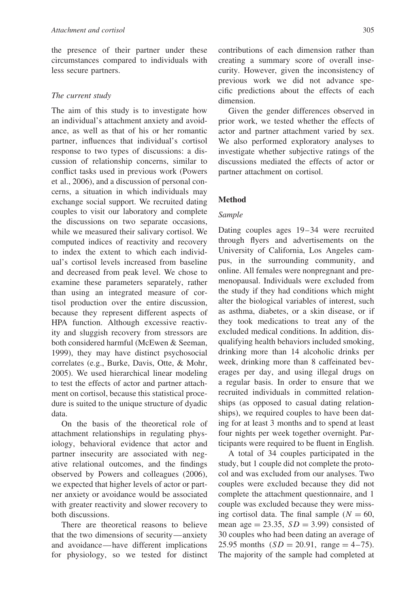the presence of their partner under these circumstances compared to individuals with less secure partners.

#### *The current study*

The aim of this study is to investigate how an individual's attachment anxiety and avoidance, as well as that of his or her romantic partner, influences that individual's cortisol response to two types of discussions: a discussion of relationship concerns, similar to conflict tasks used in previous work (Powers et al., 2006), and a discussion of personal concerns, a situation in which individuals may exchange social support. We recruited dating couples to visit our laboratory and complete the discussions on two separate occasions, while we measured their salivary cortisol. We computed indices of reactivity and recovery to index the extent to which each individual's cortisol levels increased from baseline and decreased from peak level. We chose to examine these parameters separately, rather than using an integrated measure of cortisol production over the entire discussion, because they represent different aspects of HPA function. Although excessive reactivity and sluggish recovery from stressors are both considered harmful (McEwen & Seeman, 1999), they may have distinct psychosocial correlates (e.g., Burke, Davis, Otte, & Mohr, 2005). We used hierarchical linear modeling to test the effects of actor and partner attachment on cortisol, because this statistical procedure is suited to the unique structure of dyadic data.

On the basis of the theoretical role of attachment relationships in regulating physiology, behavioral evidence that actor and partner insecurity are associated with negative relational outcomes, and the findings observed by Powers and colleagues (2006), we expected that higher levels of actor or partner anxiety or avoidance would be associated with greater reactivity and slower recovery to both discussions.

There are theoretical reasons to believe that the two dimensions of security—anxiety and avoidance—have different implications for physiology, so we tested for distinct contributions of each dimension rather than creating a summary score of overall insecurity. However, given the inconsistency of previous work we did not advance specific predictions about the effects of each dimension.

Given the gender differences observed in prior work, we tested whether the effects of actor and partner attachment varied by sex. We also performed exploratory analyses to investigate whether subjective ratings of the discussions mediated the effects of actor or partner attachment on cortisol.

#### **Method**

## *Sample*

Dating couples ages 19–34 were recruited through flyers and advertisements on the University of California, Los Angeles campus, in the surrounding community, and online. All females were nonpregnant and premenopausal. Individuals were excluded from the study if they had conditions which might alter the biological variables of interest, such as asthma, diabetes, or a skin disease, or if they took medications to treat any of the excluded medical conditions. In addition, disqualifying health behaviors included smoking, drinking more than 14 alcoholic drinks per week, drinking more than 8 caffeinated beverages per day, and using illegal drugs on a regular basis. In order to ensure that we recruited individuals in committed relationships (as opposed to casual dating relationships), we required couples to have been dating for at least 3 months and to spend at least four nights per week together overnight. Participants were required to be fluent in English.

A total of 34 couples participated in the study, but 1 couple did not complete the protocol and was excluded from our analyses. Two couples were excluded because they did not complete the attachment questionnaire, and 1 couple was excluded because they were missing cortisol data. The final sample  $(N = 60,$ mean age  $= 23.35$ ,  $SD = 3.99$ ) consisted of 30 couples who had been dating an average of 25.95 months  $(SD = 20.91, \text{ range} = 4-75)$ . The majority of the sample had completed at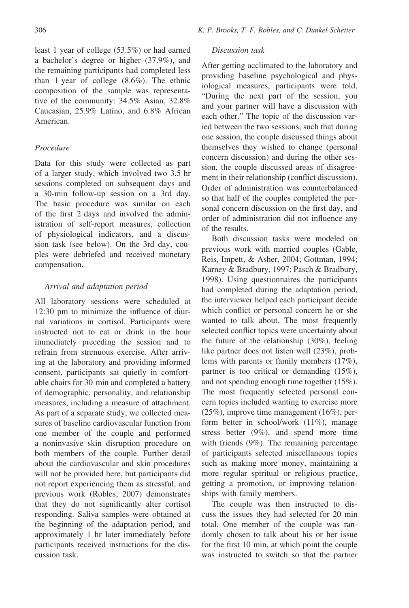least 1 year of college (53.5%) or had earned a bachelor's degree or higher (37.9%), and the remaining participants had completed less than 1 year of college (8.6%). The ethnic composition of the sample was representative of the community: 34.5% Asian, 32.8% Caucasian, 25.9% Latino, and 6.8% African American.

## *Procedure*

Data for this study were collected as part of a larger study, which involved two 3.5 hr sessions completed on subsequent days and a 30-min follow-up session on a 3rd day. The basic procedure was similar on each of the first 2 days and involved the administration of self-report measures, collection of physiological indicators, and a discussion task (see below). On the 3rd day, couples were debriefed and received monetary compensation.

#### *Arrival and adaptation period*

All laboratory sessions were scheduled at 12:30 pm to minimize the influence of diurnal variations in cortisol. Participants were instructed not to eat or drink in the hour immediately preceding the session and to refrain from strenuous exercise. After arriving at the laboratory and providing informed consent, participants sat quietly in comfortable chairs for 30 min and completed a battery of demographic, personality, and relationship measures, including a measure of attachment. As part of a separate study, we collected measures of baseline cardiovascular function from one member of the couple and performed a noninvasive skin disruption procedure on both members of the couple. Further detail about the cardiovascular and skin procedures will not be provided here, but participants did not report experiencing them as stressful, and previous work (Robles, 2007) demonstrates that they do not significantly alter cortisol responding. Saliva samples were obtained at the beginning of the adaptation period, and approximately 1 hr later immediately before participants received instructions for the discussion task.

## *Discussion task*

After getting acclimated to the laboratory and providing baseline psychological and physiological measures, participants were told, "During the next part of the session, you and your partner will have a discussion with each other." The topic of the discussion varied between the two sessions, such that during one session, the couple discussed things about themselves they wished to change (personal concern discussion) and during the other session, the couple discussed areas of disagreement in their relationship (conflict discussion). Order of administration was counterbalanced so that half of the couples completed the personal concern discussion on the first day, and order of administration did not influence any of the results.

Both discussion tasks were modeled on previous work with married couples (Gable, Reis, Impett, & Asher, 2004; Gottman, 1994; Karney & Bradbury, 1997; Pasch & Bradbury, 1998). Using questionnaires the participants had completed during the adaptation period, the interviewer helped each participant decide which conflict or personal concern he or she wanted to talk about. The most frequently selected conflict topics were uncertainty about the future of the relationship (30%), feeling like partner does not listen well (23%), problems with parents or family members (17%), partner is too critical or demanding (15%), and not spending enough time together (15%). The most frequently selected personal concern topics included wanting to exercise more (25%), improve time management (16%), perform better in school/work (11%), manage stress better (9%), and spend more time with friends (9%). The remaining percentage of participants selected miscellaneous topics such as making more money, maintaining a more regular spiritual or religious practice, getting a promotion, or improving relationships with family members.

The couple was then instructed to discuss the issues they had selected for 20 min total. One member of the couple was randomly chosen to talk about his or her issue for the first 10 min, at which point the couple was instructed to switch so that the partner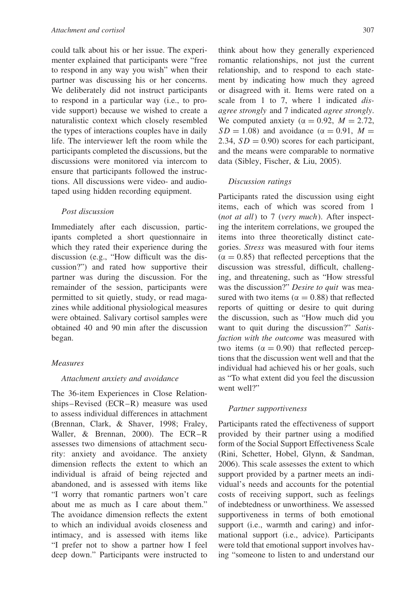could talk about his or her issue. The experimenter explained that participants were "free to respond in any way you wish" when their partner was discussing his or her concerns. We deliberately did not instruct participants to respond in a particular way (i.e., to provide support) because we wished to create a naturalistic context which closely resembled the types of interactions couples have in daily life. The interviewer left the room while the participants completed the discussions, but the discussions were monitored via intercom to ensure that participants followed the instructions. All discussions were video- and audiotaped using hidden recording equipment.

## *Post discussion*

Immediately after each discussion, participants completed a short questionnaire in which they rated their experience during the discussion (e.g., "How difficult was the discussion?") and rated how supportive their partner was during the discussion. For the remainder of the session, participants were permitted to sit quietly, study, or read magazines while additional physiological measures were obtained. Salivary cortisol samples were obtained 40 and 90 min after the discussion began.

## *Measures*

#### *Attachment anxiety and avoidance*

The 36-item Experiences in Close Relationships–Revised (ECR–R) measure was used to assess individual differences in attachment (Brennan, Clark, & Shaver, 1998; Fraley, Waller, & Brennan, 2000). The ECR–R assesses two dimensions of attachment security: anxiety and avoidance. The anxiety dimension reflects the extent to which an individual is afraid of being rejected and abandoned, and is assessed with items like "I worry that romantic partners won't care about me as much as I care about them." The avoidance dimension reflects the extent to which an individual avoids closeness and intimacy, and is assessed with items like "I prefer not to show a partner how I feel deep down." Participants were instructed to

think about how they generally experienced romantic relationships, not just the current relationship, and to respond to each statement by indicating how much they agreed or disagreed with it. Items were rated on a scale from 1 to 7, where 1 indicated *disagree strongly* and 7 indicated *agree strongly*. We computed anxiety ( $\alpha = 0.92$ ,  $M = 2.72$ ,  $SD = 1.08$ ) and avoidance ( $\alpha = 0.91$ , *M* = 2.34,  $SD = 0.90$ ) scores for each participant, and the means were comparable to normative data (Sibley, Fischer, & Liu, 2005).

#### *Discussion ratings*

Participants rated the discussion using eight items, each of which was scored from 1 (*not at all*) to 7 (*very much*). After inspecting the interitem correlations, we grouped the items into three theoretically distinct categories. *Stress* was measured with four items  $(\alpha = 0.85)$  that reflected perceptions that the discussion was stressful, difficult, challenging, and threatening, such as "How stressful was the discussion?" *Desire to quit* was measured with two items ( $\alpha = 0.88$ ) that reflected reports of quitting or desire to quit during the discussion, such as "How much did you want to quit during the discussion?" *Satisfaction with the outcome* was measured with two items  $(\alpha = 0.90)$  that reflected perceptions that the discussion went well and that the individual had achieved his or her goals, such as "To what extent did you feel the discussion went well?"

#### *Partner supportiveness*

Participants rated the effectiveness of support provided by their partner using a modified form of the Social Support Effectiveness Scale (Rini, Schetter, Hobel, Glynn, & Sandman, 2006). This scale assesses the extent to which support provided by a partner meets an individual's needs and accounts for the potential costs of receiving support, such as feelings of indebtedness or unworthiness. We assessed supportiveness in terms of both emotional support (i.e., warmth and caring) and informational support (i.e., advice). Participants were told that emotional support involves having "someone to listen to and understand our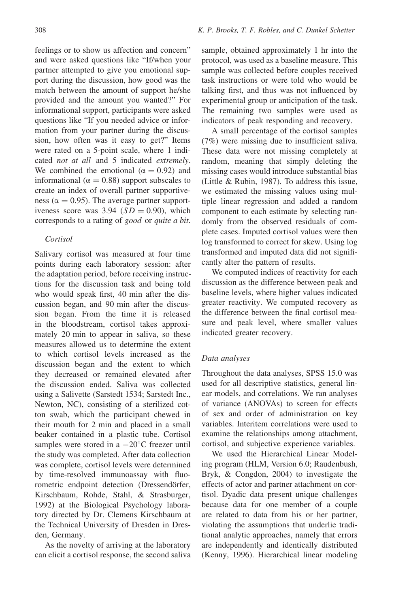feelings or to show us affection and concern" and were asked questions like "If/when your partner attempted to give you emotional support during the discussion, how good was the match between the amount of support he/she provided and the amount you wanted?" For informational support, participants were asked questions like "If you needed advice or information from your partner during the discussion, how often was it easy to get?" Items were rated on a 5-point scale, where 1 indicated *not at all* and 5 indicated *extremely*. We combined the emotional ( $\alpha = 0.92$ ) and informational ( $\alpha = 0.88$ ) support subscales to create an index of overall partner supportiveness ( $\alpha = 0.95$ ). The average partner supportiveness score was  $3.94$  (*SD* = 0.90), which corresponds to a rating of *good* or *quite a bit*.

#### *Cortisol*

Salivary cortisol was measured at four time points during each laboratory session: after the adaptation period, before receiving instructions for the discussion task and being told who would speak first, 40 min after the discussion began, and 90 min after the discussion began. From the time it is released in the bloodstream, cortisol takes approximately 20 min to appear in saliva, so these measures allowed us to determine the extent to which cortisol levels increased as the discussion began and the extent to which they decreased or remained elevated after the discussion ended. Saliva was collected using a Salivette (Sarstedt 1534; Sarstedt Inc., Newton, NC), consisting of a sterilized cotton swab, which the participant chewed in their mouth for 2 min and placed in a small beaker contained in a plastic tube. Cortisol samples were stored in a  $-20^{\circ}$ C freezer until the study was completed. After data collection was complete, cortisol levels were determined by time-resolved immunoassay with fluorometric endpoint detection (Dressendörfer, Kirschbaum, Rohde, Stahl, & Strasburger, 1992) at the Biological Psychology laboratory directed by Dr. Clemens Kirschbaum at the Technical University of Dresden in Dresden, Germany.

As the novelty of arriving at the laboratory can elicit a cortisol response, the second saliva

sample, obtained approximately 1 hr into the protocol, was used as a baseline measure. This sample was collected before couples received task instructions or were told who would be talking first, and thus was not influenced by experimental group or anticipation of the task. The remaining two samples were used as indicators of peak responding and recovery.

A small percentage of the cortisol samples (7%) were missing due to insufficient saliva. These data were not missing completely at random, meaning that simply deleting the missing cases would introduce substantial bias (Little & Rubin, 1987). To address this issue, we estimated the missing values using multiple linear regression and added a random component to each estimate by selecting randomly from the observed residuals of complete cases. Imputed cortisol values were then log transformed to correct for skew. Using log transformed and imputed data did not significantly alter the pattern of results.

We computed indices of reactivity for each discussion as the difference between peak and baseline levels, where higher values indicated greater reactivity. We computed recovery as the difference between the final cortisol measure and peak level, where smaller values indicated greater recovery.

#### *Data analyses*

Throughout the data analyses, SPSS 15.0 was used for all descriptive statistics, general linear models, and correlations. We ran analyses of variance (ANOVAs) to screen for effects of sex and order of administration on key variables. Interitem correlations were used to examine the relationships among attachment, cortisol, and subjective experience variables.

We used the Hierarchical Linear Modeling program (HLM, Version 6.0; Raudenbush, Bryk, & Congdon, 2004) to investigate the effects of actor and partner attachment on cortisol. Dyadic data present unique challenges because data for one member of a couple are related to data from his or her partner, violating the assumptions that underlie traditional analytic approaches, namely that errors are independently and identically distributed (Kenny, 1996). Hierarchical linear modeling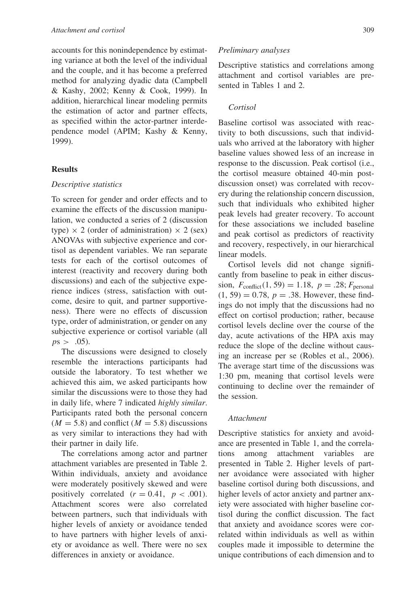accounts for this nonindependence by estimating variance at both the level of the individual and the couple, and it has become a preferred method for analyzing dyadic data (Campbell & Kashy, 2002; Kenny & Cook, 1999). In addition, hierarchical linear modeling permits the estimation of actor and partner effects, as specified within the actor-partner interdependence model (APIM; Kashy & Kenny, 1999).

#### **Results**

#### *Descriptive statistics*

To screen for gender and order effects and to examine the effects of the discussion manipulation, we conducted a series of 2 (discussion type)  $\times$  2 (order of administration)  $\times$  2 (sex) ANOVAs with subjective experience and cortisol as dependent variables. We ran separate tests for each of the cortisol outcomes of interest (reactivity and recovery during both discussions) and each of the subjective experience indices (stress, satisfaction with outcome, desire to quit, and partner supportiveness). There were no effects of discussion type, order of administration, or gender on any subjective experience or cortisol variable (all  $p s > .05$ ).

The discussions were designed to closely resemble the interactions participants had outside the laboratory. To test whether we achieved this aim, we asked participants how similar the discussions were to those they had in daily life, where 7 indicated *highly similar*. Participants rated both the personal concern  $(M = 5.8)$  and conflict  $(M = 5.8)$  discussions as very similar to interactions they had with their partner in daily life.

The correlations among actor and partner attachment variables are presented in Table 2. Within individuals, anxiety and avoidance were moderately positively skewed and were positively correlated  $(r = 0.41, p < .001)$ . Attachment scores were also correlated between partners, such that individuals with higher levels of anxiety or avoidance tended to have partners with higher levels of anxiety or avoidance as well. There were no sex differences in anxiety or avoidance.

#### *Preliminary analyses*

Descriptive statistics and correlations among attachment and cortisol variables are presented in Tables 1 and 2.

## *Cortisol*

Baseline cortisol was associated with reactivity to both discussions, such that individuals who arrived at the laboratory with higher baseline values showed less of an increase in response to the discussion. Peak cortisol (i.e., the cortisol measure obtained 40-min postdiscussion onset) was correlated with recovery during the relationship concern discussion, such that individuals who exhibited higher peak levels had greater recovery. To account for these associations we included baseline and peak cortisol as predictors of reactivity and recovery, respectively, in our hierarchical linear models.

Cortisol levels did not change significantly from baseline to peak in either discussion,  $F_{conflict}(1, 59) = 1.18$ ,  $p = .28$ ;  $F_{personal}$  $(1, 59) = 0.78$ ,  $p = .38$ . However, these findings do not imply that the discussions had no effect on cortisol production; rather, because cortisol levels decline over the course of the day, acute activations of the HPA axis may reduce the slope of the decline without causing an increase per se (Robles et al., 2006). The average start time of the discussions was 1:30 pm, meaning that cortisol levels were continuing to decline over the remainder of the session.

#### *Attachment*

Descriptive statistics for anxiety and avoidance are presented in Table 1, and the correlations among attachment variables are presented in Table 2. Higher levels of partner avoidance were associated with higher baseline cortisol during both discussions, and higher levels of actor anxiety and partner anxiety were associated with higher baseline cortisol during the conflict discussion. The fact that anxiety and avoidance scores were correlated within individuals as well as within couples made it impossible to determine the unique contributions of each dimension and to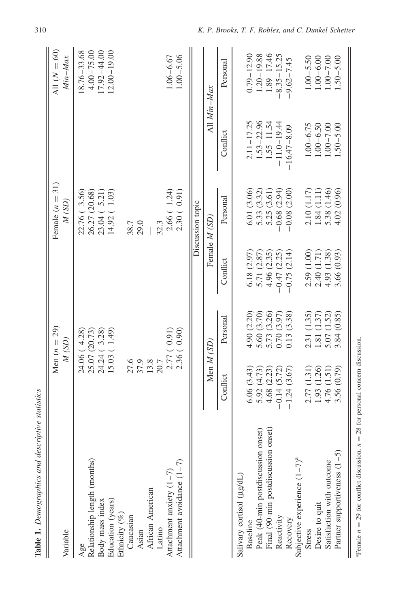| Table 1. Demographics and descriptive statistics                             |                                 |                                         |                              |                                                     |                                   |                                                      |
|------------------------------------------------------------------------------|---------------------------------|-----------------------------------------|------------------------------|-----------------------------------------------------|-----------------------------------|------------------------------------------------------|
| Variable                                                                     |                                 | Men $(n = 29)$<br>M(SD)                 |                              | 31)<br>Female $(n =$<br>M <sub>(SD</sub>            |                                   | All $(N = 60)$<br>Min-Max                            |
| Relationship length (months)<br>Body mass index<br>Age                       | 24.24                           | (3.28)<br>25.07 (20.73)<br>24.06 (4.28) |                              | 26.27 (20.68)<br>(3.56)<br>(5.21)<br>22.76<br>23.04 |                                   | $4.00 - 75.00$<br>$18.76 - 33.68$<br>$17.92 - 44.00$ |
| African American<br>Education (years)<br>Ethnicity (%)<br>Caucasian<br>Asian | 15.03<br>27.6<br>37.9<br>13.8   | (64.1)                                  |                              | (1.03)<br>14.92<br>29.0<br>38.7                     |                                   | $(2.00 - 19.00)$                                     |
| Attachment avoidance (1-7)<br>Attachment anxiety $(1-7)$<br>Latino           | 20.7                            | 2.77(0.91)<br>2.36(0.90)                |                              | 2.66(1.24)<br>2.30(0.91)<br>32.3                    |                                   | $1.00 - 5.06$<br>$1.06 - 6.67$                       |
|                                                                              |                                 |                                         |                              | Discussion topic                                    |                                   |                                                      |
|                                                                              | Men M (SD)                      |                                         | Female M (SD)                |                                                     |                                   | All Min-Max                                          |
|                                                                              | Conflict                        | Personal                                | Conflict                     | Personal                                            | Conflict                          | Personal                                             |
| Salivary cortisol (µg/dL)<br>Baseline                                        | 6.06(3.43)                      | 4.90(2.20)                              | (2.97)<br>6.18               | 6.01 (3.06)                                         | $2.11 - 17.25$                    | $0.79 - 12.90$                                       |
| Peak (40-min postdiscussion onset)                                           | 5.92 (4.73)                     | 5.60 (3.70)                             | (2.87)<br>5.71               | (3.32)<br>5.33                                      | $1.53 - 22.96$                    | $1.20 - 19.88$                                       |
| Final (90-min postdiscussion onset)<br>Reactivity                            | $-0.14(5.72)$<br>(2.23)<br>4.68 | 5.73 (3.26)<br>0.70(3.97)               | (2.35)<br>(2.25)<br>4.96     | (2.94)<br>(3.61)<br>$-0.68$<br>5.25                 | $-11.0 - 19.44$<br>$1.55 - 11.54$ | $-8.35 - 15.25$<br>$1.89 - 17.46$                    |
| Subjective experience $(1-7)^a$<br>Recovery                                  | (3.67)<br>$-1.24$               | (3.38)<br>0.13                          | (2.14)<br>$-0.47$<br>$-0.75$ | (2.00)<br>$-0.08$                                   | $-16.47 - 8.09$                   | $-9.62 - 7.45$                                       |
| Desire to quit<br>Stress                                                     | 2.77 (1.31)<br>1.93 (1.26)      | 2.31(1.35)<br>(1.37)<br>1.81            | 2.59 (1.00)<br>2.40(1.71)    | 2.10(1.17)<br>1.84 (1.11)                           | $.00 - 6.75$<br>$1.00 - 6.50$     | $0.00 - 5.50$<br>$1.00 - 6.00$                       |
| Satisfaction with outcome                                                    | 4.76 (1.51)                     | 5.07 (1.52)                             | 4.93 (1.38)                  | 5.38 (1.46)                                         | $00 - 7.00$<br>$.50 - 5.00$       | $1.00 - 7.00$                                        |
| Partner supportiveness (1-5)                                                 | 3.56 (0.79)                     | (0.85)<br>3.84                          | 3.66 (0.93)                  | 4.02 (0.96)                                         |                                   | $.50 - 5.00$                                         |

<sup>a</sup>Female  $n = 29$  for conflict discussion,  $n = 28$  for personal concern discussion. <sup>a</sup>Female  $n = 29$  for conflict discussion,  $n = 28$  for personal concern discussion.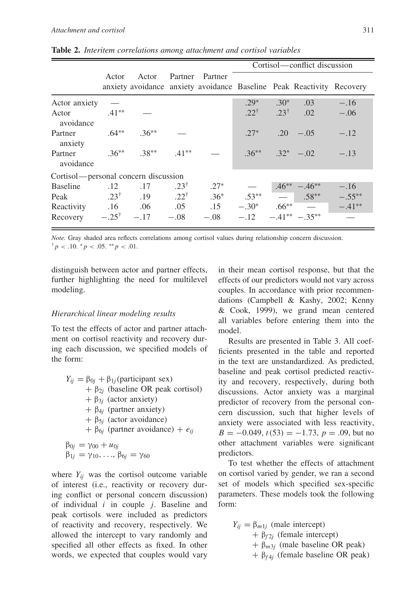|                                         |                 |                        |                 |                 |                                    |        | Cortisol—conflict discussion                                          |          |
|-----------------------------------------|-----------------|------------------------|-----------------|-----------------|------------------------------------|--------|-----------------------------------------------------------------------|----------|
|                                         | Actor           | Actor                  |                 | Partner Partner |                                    |        | anxiety avoidance anxiety avoidance Baseline Peak Reactivity Recovery |          |
| Actor anxiety                           |                 |                        |                 |                 | $.29*$                             | $.30*$ | 0.03                                                                  | $-.16$   |
| Actor<br>avoidance                      | $.41***$        |                        |                 |                 | $22^{\dagger}$                     |        | $.23^{\dagger}$ .02                                                   | $-.06$   |
| Partner<br>anxiety                      | $.64***$        | $.36**$                |                 |                 | $.27*$                             |        | $.20 - .05$                                                           | $-.12$   |
| Partner<br>avoidance                    | $.36**$         | $.38***$               | $.41**$         |                 | $.36^{**}$ $.32^*$ $-.02$          |        |                                                                       | $-.13$   |
| Cortisol—personal concern discussion    |                 |                        |                 |                 |                                    |        |                                                                       |          |
| <b>Baseline</b>                         | .12             | .17                    | $.23^{\dagger}$ | $.27*$          |                                    |        | $.46^{**}$ -.46**                                                     | $-.16$   |
| Peak                                    | $.23^{\dagger}$ | $.19 \t .22^{\dagger}$ |                 | $.36*$          | $.53***$                           |        | $-$ .58**                                                             | $-.55**$ |
| Reactivity .16 .06 .05 .15              |                 |                        |                 |                 | $-.30*$                            |        | $.66***$ —                                                            | $-.41**$ |
| Recovery $-.25^{\dagger}$ $-.17$ $-.08$ |                 |                        |                 |                 | $-.08 - .12 - .41^{**} - .35^{**}$ |        |                                                                       |          |

**Table 2.** *Interitem correlations among attachment and cortisol variables*

*Note.* Gray shaded area reflects correlations among cortisol values during relationship concern discussion.  $\phi^{\dagger} p < .10.^{\circ} p < .05.^{\circ} \phi < .01.$ 

distinguish between actor and partner effects, further highlighting the need for multilevel modeling.

#### *Hierarchical linear modeling results*

To test the effects of actor and partner attachment on cortisol reactivity and recovery during each discussion, we specified models of the form:

$$
Y_{ij} = \beta_{0j} + \beta_{1j} \text{ (participant sex)}
$$
  
+  $\beta_{2j}$  (baseline OR peak cortisol)  
+  $\beta_{3j}$  (actor anxiety)  
+  $\beta_{4j}$  (partner anxiety)  
+  $\beta_{5j}$  (actor avoidance)  
+  $\beta_{6j}$  (partner avoidance) +  $e_{ij}$   

$$
\beta_{0j} = \gamma_{00} + u_{0j}
$$

$$
\beta_{1j} \,=\gamma_{10},\ldots,\beta_{6j} \,=\gamma_{60}
$$

where  $Y_{ij}$  was the cortisol outcome variable of interest (i.e., reactivity or recovery during conflict or personal concern discussion) of individual *i* in couple *j.* Baseline and peak cortisols were included as predictors of reactivity and recovery, respectively. We allowed the intercept to vary randomly and specified all other effects as fixed. In other words, we expected that couples would vary in their mean cortisol response, but that the effects of our predictors would not vary across couples. In accordance with prior recommendations (Campbell & Kashy, 2002; Kenny & Cook, 1999), we grand mean centered all variables before entering them into the model.

Results are presented in Table 3. All coefficients presented in the table and reported in the text are unstandardized. As predicted, baseline and peak cortisol predicted reactivity and recovery, respectively, during both discussions. Actor anxiety was a marginal predictor of recovery from the personal concern discussion, such that higher levels of anxiety were associated with less reactivity,  $B = -0.049$ ,  $t(53) = -1.73$ ,  $p = .09$ , but no other attachment variables were significant predictors.

To test whether the effects of attachment on cortisol varied by gender, we ran a second set of models which specified sex-specific parameters. These models took the following form:

- $Y_{ij} = \beta_{m1j}$  (male intercept)
	- $+ \beta_{f2}$ *j* (female intercept)
	- $+ \beta_{m3j}$  (male baseline OR peak)
	- $+ \beta_{f4j}$  (female baseline OR peak)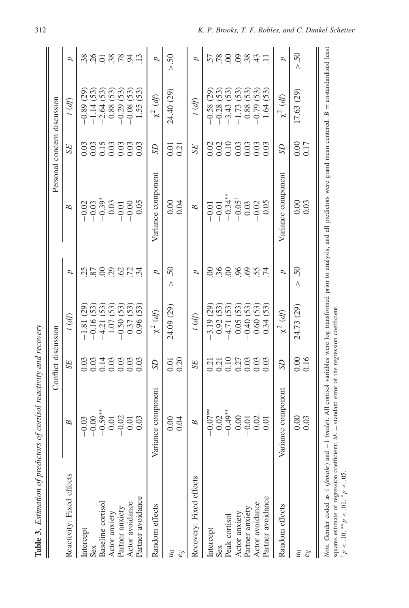|                                                   |                    | Conflict discussion  |                 |                      |                                                                                                                                        |                                     | Personal concern discussion |                                        |
|---------------------------------------------------|--------------------|----------------------|-----------------|----------------------|----------------------------------------------------------------------------------------------------------------------------------------|-------------------------------------|-----------------------------|----------------------------------------|
| Reactivity: Fixed effects                         | $\overline{B}$     | SE <sub></sub>       | t(d)            | ρ                    | B                                                                                                                                      | <b>SE</b>                           | f(d)                        | d                                      |
| Intercept                                         | $-0.03$            |                      | (29)<br>$-1.81$ |                      | $-0.02$                                                                                                                                |                                     | (29)<br>$-0.89$             | 38                                     |
| Sex                                               | $-0.00$            |                      | (53)<br>$-0.16$ |                      | $-0.03$                                                                                                                                |                                     | $-1.14$                     |                                        |
| Baseline cortisol                                 | $-0.59**$          |                      | (53)<br>$-4.21$ |                      | $-0.39*$                                                                                                                               |                                     | $-2.64$                     |                                        |
| Actor anxiety                                     | 0.01               | 881488<br>000000     | (53)<br>1.07    | 3588                 | 0.03                                                                                                                                   | 0.03<br>0.03<br>0.000000<br>0.00000 | 666)<br>0.88                | 858879                                 |
| Partner anxiety                                   | $-0.02$            |                      | (53)<br>$-0.50$ |                      | $-0.01$                                                                                                                                |                                     | $-0.29$                     |                                        |
| Actor avoidance                                   | 0.01               | 0.03                 | (53)<br>0.37    | <b>SH4</b>           | $-0.00$                                                                                                                                |                                     | (53)<br>$-0.08$             |                                        |
| Partner avoidance                                 | 0.03               |                      | (53)<br>0.96    |                      | 0.05                                                                                                                                   |                                     | (53)<br>1.55                |                                        |
| Random effects                                    | Variance component | SD                   | $x^2$ (df)      | ρ                    | Variance component                                                                                                                     | SD                                  | $x^2$ (df)                  | ρ                                      |
| $\mu_0$<br>$e_{ij}$                               | 0.00<br>0.04       | 0.20<br>0.01         | 24.09 (29)      | 50<br>٨              | 0.00<br>0.04                                                                                                                           | 0.01<br>0.21                        | 24.40 (29)                  | > .50                                  |
| Recovery: Fixed effects                           | $\overline{B}$     | <b>SE</b>            | $t$ (df)        | p                    | B                                                                                                                                      | <b>SE</b>                           | t(d)                        | d                                      |
| Intercept                                         | $-0.07**$          |                      | (29)<br>3.19    | 8                    | $-0.01$                                                                                                                                | 0.02                                | (29)<br>$-0.58$             |                                        |
| Sex                                               | 0.02               |                      | (53)<br>0.92    |                      | $-0.01$                                                                                                                                |                                     | (53)                        | 578                                    |
| Peak cortisol                                     | $-0.49**$          | 0.21<br>0.21<br>0.37 | (53)<br>$-4.71$ | 88.8                 | $-0.34**$                                                                                                                              |                                     | (53)<br>$-0.28$<br>$-3.43$  | 8.8847                                 |
| Actor anxiety                                     | 0.00               |                      | (53)<br>0.05    |                      | $-0.05^{\dagger}$                                                                                                                      |                                     | $-1.73$                     |                                        |
| Partner anxiety                                   | $-0.01$            | 0.03                 | (53)<br>$-0.40$ | 8.57                 | 0.03                                                                                                                                   |                                     | $\frac{1}{2}$<br>0.88       |                                        |
| Actor avoidance                                   | 0.02               | 0.03                 | 0.60(53)        |                      | $-0.02$                                                                                                                                |                                     | (53)<br>$-0.79$             |                                        |
| Partner avoidance                                 | 0.01               | 0.03                 | (53)<br>0.34    |                      | 0.05                                                                                                                                   |                                     | (53)<br>1.64                |                                        |
| Random effects                                    | Variance component | S <sub>D</sub>       | $x^2$ (df)      | p                    | Variance component                                                                                                                     | S <sub>D</sub>                      | $\chi^2$ (df)               | D                                      |
| $\mu_0$<br>$e_{ij}$                               | 0.00<br>0.03       |                      | 24.73 (29)      | $\overline{50}$<br>٨ | 0.03                                                                                                                                   | 0.17                                | 17.63(29)                   | $\overline{50}$<br>$\overline{\wedge}$ |
| Note. Gender coded as 1 (female) and $-1$ (male). |                    |                      |                 |                      | All cortisol variables were log transformed prior to analysis, and all predictors were grand mean centered. $B =$ unstandardized least |                                     |                             |                                        |

−1 (*male*). All cortisol variables were log transformed prior to analysis, and all predictors were grand mean centered.  $\tilde{d}$ i, ÷. i. squares estimate of regression coefficient;  $SE$  = standard error of the regression coefficient.<br>
<sup>†</sup> $p < .10$ . \*  $p < .01$ . \*  $p < .05$ . standard error of the regression coefficient. squares estimate of regression coefficient; *SE Note.* Gender coded as 1 (*female*) and  $<sup>†</sup>p < 0.10.$  <sup>∗∗</sup> $p < 0.01.$  \*  $p < 0.05$ .</sup>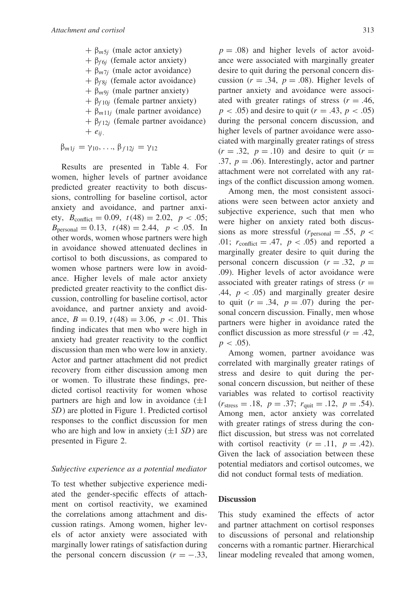- $+ \beta_{m5}$ *(male actor anxiety)*  $+ \beta_{f6}$  (female actor anxiety)  $+ \beta_{m7}$ *j* (male actor avoidance)  $+ \beta_{f8j}$  (female actor avoidance)  $+ \beta_{m9j}$  (male partner anxiety)  $+ \beta_{f10j}$  (female partner anxiety)  $+ \beta_{m11j}$  (male partner avoidance)  $+ \beta_{f12j}$  (female partner avoidance)
	- $+$   $e_{ij}$ .

β*m*1*<sup>j</sup>* = γ10*,...*, β*<sup>f</sup>* <sup>12</sup>*<sup>j</sup>* = γ<sup>12</sup>

Results are presented in Table 4. For women, higher levels of partner avoidance predicted greater reactivity to both discussions, controlling for baseline cortisol, actor anxiety and avoidance, and partner anxiety,  $B_{\text{conflict}} = 0.09$ ,  $t(48) = 2.02$ ,  $p < .05$ ;  $B_{\text{personal}} = 0.13, t(48) = 2.44, p < .05.$  In other words, women whose partners were high in avoidance showed attenuated declines in cortisol to both discussions, as compared to women whose partners were low in avoidance. Higher levels of male actor anxiety predicted greater reactivity to the conflict discussion, controlling for baseline cortisol, actor avoidance, and partner anxiety and avoidance,  $B = 0.19$ ,  $t(48) = 3.06$ ,  $p < .01$ . This finding indicates that men who were high in anxiety had greater reactivity to the conflict discussion than men who were low in anxiety. Actor and partner attachment did not predict recovery from either discussion among men or women. To illustrate these findings, predicted cortisol reactivity for women whose partners are high and low in avoidance  $(\pm 1)$ *SD*) are plotted in Figure 1. Predicted cortisol responses to the conflict discussion for men who are high and low in anxiety  $(\pm 1 S D)$  are presented in Figure 2.

## *Subjective experience as a potential mediator*

To test whether subjective experience mediated the gender-specific effects of attachment on cortisol reactivity, we examined the correlations among attachment and discussion ratings. Among women, higher levels of actor anxiety were associated with marginally lower ratings of satisfaction during the personal concern discussion  $(r = -.33, ...)$ 

 $p = .08$ ) and higher levels of actor avoidance were associated with marginally greater desire to quit during the personal concern discussion ( $r = .34$ ,  $p = .08$ ). Higher levels of partner anxiety and avoidance were associated with greater ratings of stress  $(r = .46, )$  $p < .05$  and desire to quit ( $r = .43$ ,  $p < .05$ ) during the personal concern discussion, and higher levels of partner avoidance were associated with marginally greater ratings of stress  $(r = .32, p = .10)$  and desire to quit  $(r = .10)$ *.*37, *p* = *.*06). Interestingly, actor and partner attachment were not correlated with any ratings of the conflict discussion among women.

Among men, the most consistent associations were seen between actor anxiety and subjective experience, such that men who were higher on anxiety rated both discussions as more stressful ( $r_{\text{personal}} = .55$ ,  $p <$ *.*01;  $r_{conflict} = .47$ ,  $p < .05$ ) and reported a marginally greater desire to quit during the personal concern discussion ( $r = .32$ ,  $p =$ *.*09). Higher levels of actor avoidance were associated with greater ratings of stress  $(r =$  $.44, p < .05$ ) and marginally greater desire to quit  $(r = .34, p = .07)$  during the personal concern discussion. Finally, men whose partners were higher in avoidance rated the conflict discussion as more stressful (*r* = *.*42,  $p < .05$ ).

Among women, partner avoidance was correlated with marginally greater ratings of stress and desire to quit during the personal concern discussion, but neither of these variables was related to cortisol reactivity  $(r_{\text{stress}} = .18, p = .37; r_{\text{quit}} = .12, p = .54).$ Among men, actor anxiety was correlated with greater ratings of stress during the conflict discussion, but stress was not correlated with cortisol reactivity  $(r = .11, p = .42)$ . Given the lack of association between these potential mediators and cortisol outcomes, we did not conduct formal tests of mediation.

#### **Discussion**

This study examined the effects of actor and partner attachment on cortisol responses to discussions of personal and relationship concerns with a romantic partner. Hierarchical linear modeling revealed that among women,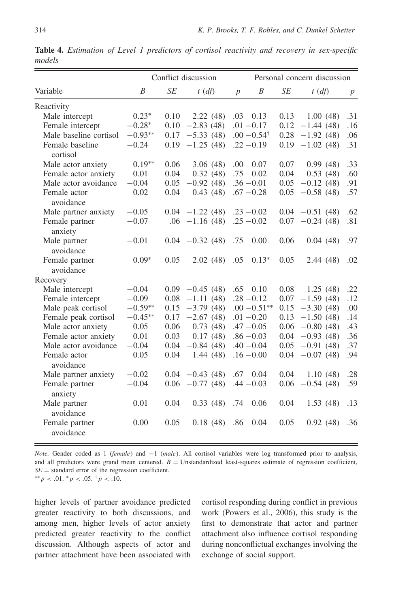|                             |                  |      | Conflict discussion |                |                        |      | Personal concern discussion |                  |
|-----------------------------|------------------|------|---------------------|----------------|------------------------|------|-----------------------------|------------------|
| Variable                    | $\boldsymbol{B}$ | SE   | $t(d\hat{f})$       | $\overline{p}$ | $\boldsymbol{B}$       | SE   | $t(d\hat{f})$               | $\boldsymbol{p}$ |
| Reactivity                  |                  |      |                     |                |                        |      |                             |                  |
| Male intercept              | $0.23*$          | 0.10 | 2.22(48)            |                | $.03 \quad 0.13$       | 0.13 | 1.00(48)                    | .31              |
| Female intercept            | $-0.28*$         | 0.10 | $-2.83(48)$         |                | $.01 - 0.17$           | 0.12 | $-1.44(48)$                 | .16              |
| Male baseline cortisol      | $-0.93**$        | 0.17 | $-5.33(48)$         |                | $.00 - 0.54^{\dagger}$ | 0.28 | $-1.92(48)$                 | .06              |
| Female baseline             | $-0.24$          | 0.19 | $-1.25(48)$         |                | $.22 - 0.19$           | 0.19 | $-1.02(48)$                 | .31              |
| cortisol                    |                  |      |                     |                |                        |      |                             |                  |
| Male actor anxiety          | $0.19**$         | 0.06 | 3.06(48)            | .00            | 0.07                   | 0.07 | 0.99(48)                    | .33              |
| Female actor anxiety        | 0.01             | 0.04 | 0.32(48)            | .75            | 0.02                   | 0.04 | 0.53(48)                    | .60              |
| Male actor avoidance        | $-0.04$          | 0.05 | $-0.92(48)$         |                | $.36 - 0.01$           | 0.05 | $-0.12(48)$                 | .91              |
| Female actor<br>avoidance   | 0.02             | 0.04 | 0.43(48)            |                | $.67 - 0.28$           | 0.05 | $-0.58(48)$                 | .57              |
| Male partner anxiety        | $-0.05$          |      | $0.04 -1.22(48)$    |                | $.23 - 0.02$           | 0.04 | $-0.51(48)$                 | .62              |
| Female partner              | $-0.07$          | .06  | $-1.16(48)$         |                | $.25 - 0.02$           | 0.07 | $-0.24(48)$                 | .81              |
| anxiety                     |                  |      |                     |                |                        |      |                             |                  |
| Male partner<br>avoidance   | $-0.01$          | 0.04 | $-0.32(48)$         | .75            | 0.00                   | 0.06 | 0.04(48)                    | .97              |
| Female partner              | $0.09*$          | 0.05 | 2.02(48)            | .05            | $0.13*$                | 0.05 | 2.44(48)                    | .02              |
| avoidance                   |                  |      |                     |                |                        |      |                             |                  |
| Recovery                    |                  |      |                     |                |                        |      |                             |                  |
| Male intercept              | $-0.04$          | 0.09 | $-0.45(48)$         | .65            | 0.10                   | 0.08 | 1.25(48)                    | .22              |
| Female intercept            | $-0.09$          | 0.08 | $-1.11(48)$         |                | $.28 - 0.12$           | 0.07 | $-1.59(48)$                 | .12              |
| Male peak cortisol          | $-0.59**$        | 0.15 | $-3.79(48)$         |                | $.00 - 0.51**$         | 0.15 | $-3.30(48)$                 | .00              |
| Female peak cortisol        | $-0.45**$        | 0.17 | $-2.67(48)$         |                | $.01 - 0.20$           | 0.13 | $-1.50(48)$                 | .14              |
| Male actor anxiety          | 0.05             | 0.06 | 0.73(48)            |                | $.47 - 0.05$           |      | $0.06 -0.80(48)$            | .43              |
| Female actor anxiety        | 0.01             | 0.03 | 0.17(48)            |                | $.86 - 0.03$           |      | $0.04 -0.93(48)$            | .36              |
| Male actor avoidance        | $-0.04$          | 0.04 | $-0.84(48)$         |                | $.40 - 0.04$           | 0.05 | $-0.91(48)$                 | .37              |
| Female actor<br>avoidance   | 0.05             | 0.04 | 1.44(48)            |                | $.16 - 0.00$           |      | $0.04 -0.07(48)$            | .94              |
| Male partner anxiety        | $-0.02$          |      | $0.04 -0.43(48)$    | .67            | 0.04                   | 0.04 | 1.10(48)                    | .28              |
| Female partner              | $-0.04$          | 0.06 | $-0.77(48)$         |                | $.44 - 0.03$           | 0.06 | $-0.54(48)$                 | .59              |
| anxiety                     |                  |      |                     |                |                        |      |                             |                  |
| Male partner<br>avoidance   | 0.01             | 0.04 | 0.33(48)            | .74            | 0.06                   | 0.04 | 1.53(48)                    | .13              |
| Female partner<br>avoidance | 0.00             | 0.05 | 0.18(48)            | .86            | 0.04                   | 0.05 | 0.92(48)                    | .36              |

*Note.* Gender coded as 1 (*female*) and −1 (*male*). All cortisol variables were log transformed prior to analysis, and all predictors were grand mean centered.  $B =$  Unstandardized least-squares estimate of regression coefficient,  $SE =$  standard error of the regression coefficient.  $*$ <sup>\*</sup>*p* < .01.  $*$ *p* < .05. <sup>†</sup>*p* < .10.

higher levels of partner avoidance predicted greater reactivity to both discussions, and among men, higher levels of actor anxiety predicted greater reactivity to the conflict discussion. Although aspects of actor and partner attachment have been associated with cortisol responding during conflict in previous work (Powers et al., 2006), this study is the first to demonstrate that actor and partner attachment also influence cortisol responding during nonconflictual exchanges involving the exchange of social support.

*models*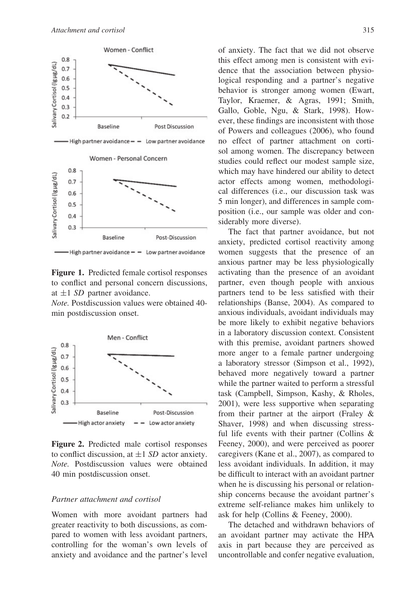

**Figure 1.** Predicted female cortisol responses to conflict and personal concern discussions, at ±1 *SD* partner avoidance.

*Note.* Postdiscussion values were obtained 40 min postdiscussion onset.



**Figure 2.** Predicted male cortisol responses to conflict discussion, at ±1 *SD* actor anxiety. *Note.* Postdiscussion values were obtained 40 min postdiscussion onset.

#### *Partner attachment and cortisol*

Women with more avoidant partners had greater reactivity to both discussions, as compared to women with less avoidant partners, controlling for the woman's own levels of anxiety and avoidance and the partner's level

of anxiety. The fact that we did not observe this effect among men is consistent with evidence that the association between physiological responding and a partner's negative behavior is stronger among women (Ewart, Taylor, Kraemer, & Agras, 1991; Smith, Gallo, Goble, Ngu, & Stark, 1998). However, these findings are inconsistent with those of Powers and colleagues (2006), who found no effect of partner attachment on cortisol among women. The discrepancy between studies could reflect our modest sample size, which may have hindered our ability to detect actor effects among women, methodological differences (i.e., our discussion task was 5 min longer), and differences in sample composition (i.e., our sample was older and considerably more diverse).

The fact that partner avoidance, but not anxiety, predicted cortisol reactivity among women suggests that the presence of an anxious partner may be less physiologically activating than the presence of an avoidant partner, even though people with anxious partners tend to be less satisfied with their relationships (Banse, 2004). As compared to anxious individuals, avoidant individuals may be more likely to exhibit negative behaviors in a laboratory discussion context. Consistent with this premise, avoidant partners showed more anger to a female partner undergoing a laboratory stressor (Simpson et al., 1992), behaved more negatively toward a partner while the partner waited to perform a stressful task (Campbell, Simpson, Kashy, & Rholes, 2001), were less supportive when separating from their partner at the airport (Fraley & Shaver, 1998) and when discussing stressful life events with their partner (Collins & Feeney, 2000), and were perceived as poorer caregivers (Kane et al., 2007), as compared to less avoidant individuals. In addition, it may be difficult to interact with an avoidant partner when he is discussing his personal or relationship concerns because the avoidant partner's extreme self-reliance makes him unlikely to ask for help (Collins & Feeney, 2000).

The detached and withdrawn behaviors of an avoidant partner may activate the HPA axis in part because they are perceived as uncontrollable and confer negative evaluation,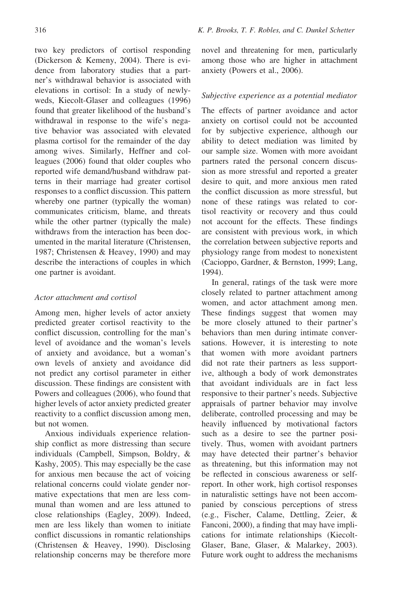two key predictors of cortisol responding (Dickerson & Kemeny, 2004). There is evidence from laboratory studies that a partner's withdrawal behavior is associated with elevations in cortisol: In a study of newlyweds, Kiecolt-Glaser and colleagues (1996) found that greater likelihood of the husband's withdrawal in response to the wife's negative behavior was associated with elevated plasma cortisol for the remainder of the day among wives. Similarly, Heffner and colleagues (2006) found that older couples who reported wife demand/husband withdraw patterns in their marriage had greater cortisol responses to a conflict discussion. This pattern whereby one partner (typically the woman) communicates criticism, blame, and threats while the other partner (typically the male) withdraws from the interaction has been documented in the marital literature (Christensen, 1987; Christensen & Heavey, 1990) and may describe the interactions of couples in which one partner is avoidant.

#### *Actor attachment and cortisol*

Among men, higher levels of actor anxiety predicted greater cortisol reactivity to the conflict discussion, controlling for the man's level of avoidance and the woman's levels of anxiety and avoidance, but a woman's own levels of anxiety and avoidance did not predict any cortisol parameter in either discussion. These findings are consistent with Powers and colleagues (2006), who found that higher levels of actor anxiety predicted greater reactivity to a conflict discussion among men, but not women.

Anxious individuals experience relationship conflict as more distressing than secure individuals (Campbell, Simpson, Boldry, & Kashy, 2005). This may especially be the case for anxious men because the act of voicing relational concerns could violate gender normative expectations that men are less communal than women and are less attuned to close relationships (Eagley, 2009). Indeed, men are less likely than women to initiate conflict discussions in romantic relationships (Christensen & Heavey, 1990). Disclosing relationship concerns may be therefore more novel and threatening for men, particularly among those who are higher in attachment anxiety (Powers et al., 2006).

#### *Subjective experience as a potential mediator*

The effects of partner avoidance and actor anxiety on cortisol could not be accounted for by subjective experience, although our ability to detect mediation was limited by our sample size. Women with more avoidant partners rated the personal concern discussion as more stressful and reported a greater desire to quit, and more anxious men rated the conflict discussion as more stressful, but none of these ratings was related to cortisol reactivity or recovery and thus could not account for the effects. These findings are consistent with previous work, in which the correlation between subjective reports and physiology range from modest to nonexistent (Cacioppo, Gardner, & Bernston, 1999; Lang, 1994).

In general, ratings of the task were more closely related to partner attachment among women, and actor attachment among men. These findings suggest that women may be more closely attuned to their partner's behaviors than men during intimate conversations. However, it is interesting to note that women with more avoidant partners did not rate their partners as less supportive, although a body of work demonstrates that avoidant individuals are in fact less responsive to their partner's needs. Subjective appraisals of partner behavior may involve deliberate, controlled processing and may be heavily influenced by motivational factors such as a desire to see the partner positively. Thus, women with avoidant partners may have detected their partner's behavior as threatening, but this information may not be reflected in conscious awareness or selfreport. In other work, high cortisol responses in naturalistic settings have not been accompanied by conscious perceptions of stress (e.g., Fischer, Calame, Dettling, Zeier, & Fanconi, 2000), a finding that may have implications for intimate relationships (Kiecolt-Glaser, Bane, Glaser, & Malarkey, 2003). Future work ought to address the mechanisms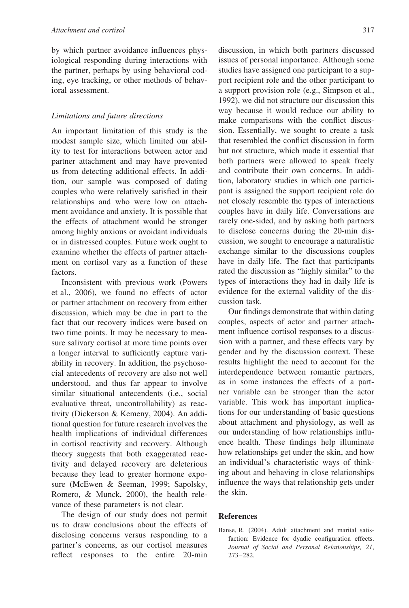by which partner avoidance influences physiological responding during interactions with the partner, perhaps by using behavioral coding, eye tracking, or other methods of behavioral assessment.

## *Limitations and future directions*

An important limitation of this study is the modest sample size, which limited our ability to test for interactions between actor and partner attachment and may have prevented us from detecting additional effects. In addition, our sample was composed of dating couples who were relatively satisfied in their relationships and who were low on attachment avoidance and anxiety. It is possible that the effects of attachment would be stronger among highly anxious or avoidant individuals or in distressed couples. Future work ought to examine whether the effects of partner attachment on cortisol vary as a function of these factors.

Inconsistent with previous work (Powers et al., 2006), we found no effects of actor or partner attachment on recovery from either discussion, which may be due in part to the fact that our recovery indices were based on two time points. It may be necessary to measure salivary cortisol at more time points over a longer interval to sufficiently capture variability in recovery. In addition, the psychosocial antecedents of recovery are also not well understood, and thus far appear to involve similar situational antecendents (i.e., social evaluative threat, uncontrollability) as reactivity (Dickerson & Kemeny, 2004). An additional question for future research involves the health implications of individual differences in cortisol reactivity and recovery. Although theory suggests that both exaggerated reactivity and delayed recovery are deleterious because they lead to greater hormone exposure (McEwen & Seeman, 1999; Sapolsky, Romero, & Munck, 2000), the health relevance of these parameters is not clear.

The design of our study does not permit us to draw conclusions about the effects of disclosing concerns versus responding to a partner's concerns, as our cortisol measures reflect responses to the entire 20-min

discussion, in which both partners discussed issues of personal importance. Although some studies have assigned one participant to a support recipient role and the other participant to a support provision role (e.g., Simpson et al., 1992), we did not structure our discussion this way because it would reduce our ability to make comparisons with the conflict discussion. Essentially, we sought to create a task that resembled the conflict discussion in form but not structure, which made it essential that both partners were allowed to speak freely and contribute their own concerns. In addition, laboratory studies in which one participant is assigned the support recipient role do not closely resemble the types of interactions couples have in daily life. Conversations are rarely one-sided, and by asking both partners to disclose concerns during the 20-min discussion, we sought to encourage a naturalistic exchange similar to the discussions couples have in daily life. The fact that participants rated the discussion as "highly similar" to the types of interactions they had in daily life is evidence for the external validity of the dis-

Our findings demonstrate that within dating couples, aspects of actor and partner attachment influence cortisol responses to a discussion with a partner, and these effects vary by gender and by the discussion context. These results highlight the need to account for the interdependence between romantic partners, as in some instances the effects of a partner variable can be stronger than the actor variable. This work has important implications for our understanding of basic questions about attachment and physiology, as well as our understanding of how relationships influence health. These findings help illuminate how relationships get under the skin, and how an individual's characteristic ways of thinking about and behaving in close relationships influence the ways that relationship gets under the skin.

#### **References**

cussion task.

Banse, R. (2004). Adult attachment and marital satisfaction: Evidence for dyadic configuration effects. *Journal of Social and Personal Relationships, 21*, 273–282.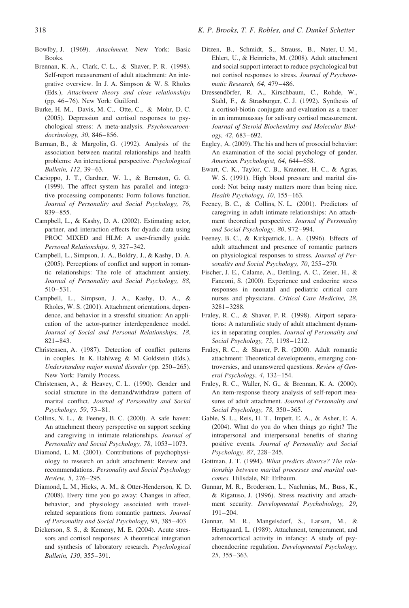Bowlby, J. (1969). *Attachment.* New York: Basic Books.

- Brennan, K. A., Clark, C. L., & Shaver, P. R. (1998). Self-report measurement of adult attachment: An integrative overview. In J. A. Simpson & W. S. Rholes (Eds.), *Attachment theory and close relationships* (pp. 46–76). New York: Guilford.
- Burke, H. M., Davis, M. C., Otte, C., & Mohr, D. C. (2005). Depression and cortisol responses to psychological stress: A meta-analysis. *Psychoneuroendocrinology, 30*, 846–856.
- Burman, B., & Margolin, G. (1992). Analysis of the association between marital relationships and health problems: An interactional perspective. *Psychological Bulletin, 112*, 39–63.
- Cacioppo, J. T., Gardner, W. L., & Bernston, G. G. (1999). The affect system has parallel and integrative processing components: Form follows function. *Journal of Personality and Social Psychology, 76*, 839–855.
- Campbell, L., & Kashy, D. A. (2002). Estimating actor, partner, and interaction effects for dyadic data using PROC MIXED and HLM: A user-friendly guide. *Personal Relationships, 9*, 327–342.
- Campbell, L., Simpson, J. A., Boldry, J., & Kashy, D. A. (2005). Perceptions of conflict and support in romantic relationships: The role of attachment anxiety. *Journal of Personality and Social Psychology, 88*, 510–531.
- Campbell, L., Simpson, J. A., Kashy, D. A., & Rholes, W. S. (2001). Attachment orientations, dependence, and behavior in a stressful situation: An application of the actor-partner interdependence model. *Journal of Social and Personal Relationships, 18*, 821–843.
- Christensen, A. (1987). Detection of conflict patterns in couples. In K. Hahlweg & M. Goldstein (Eds.), *Understanding major mental disorder* (pp. 250–265). New York: Family Process.
- Christensen, A., & Heavey, C. L. (1990). Gender and social structure in the demand/withdraw pattern of marital conflict. *Journal of Personality and Social Psychology, 59*, 73–81.
- Collins, N. L., & Feeney, B. C. (2000). A safe haven: An attachment theory perspective on support seeking and caregiving in intimate relationships. *Journal of Personality and Social Psychology, 78*, 1053–1073.
- Diamond, L. M. (2001). Contributions of psychophysiology to research on adult attachment: Review and recommendations. *Personality and Social Psychology Review, 5*, 276–295.
- Diamond, L. M., Hicks, A. M., & Otter-Henderson, K. D. (2008). Every time you go away: Changes in affect, behavior, and physiology associated with travelrelated separations from romantic partners. *Journal of Personality and Social Psychology, 95*, 385–403
- Dickerson, S. S., & Kemeny, M. E. (2004). Acute stressors and cortisol responses: A theoretical integration and synthesis of laboratory research. *Psychological Bulletin, 130*, 355–391.
- Ditzen, B., Schmidt, S., Strauss, B., Nater, U. M., Ehlert, U., & Heinrichs, M. (2008). Adult attachment and social support interact to reduce psychological but not cortisol responses to stress. *Journal of Psychosomatic Research, 64*, 479–486.
- Dressendörfer, R. A., Kirschbaum, C., Rohde, W., Stahl, F., & Strasburger, C. J. (1992). Synthesis of a cortisol-biotin conjugate and evaluation as a tracer in an immunoassay for salivary cortisol measurement. *Journal of Steroid Biochemistry and Molecular Biology, 42*, 683–692.
- Eagley, A. (2009). The his and hers of prosocial behavior: An examination of the social psychology of gender. *American Psychologist, 64*, 644–658.
- Ewart, C. K., Taylor, C. B., Kraemer, H. C., & Agras, W. S. (1991). High blood pressure and marital discord: Not being nasty matters more than being nice. *Health Psychology, 10*, 155–163.
- Feeney, B. C., & Collins, N. L. (2001). Predictors of caregiving in adult intimate relationships: An attachment theoretical perspective. *Journal of Personality and Social Psychology, 80*, 972–994.
- Feeney, B. C., & Kirkpatrick, L. A. (1996). Effects of adult attachment and presence of romantic partners on physiological responses to stress. *Journal of Personality and Social Psychology, 70*, 255–270.
- Fischer, J. E., Calame, A., Dettling, A. C., Zeier, H., & Fanconi, S. (2000). Experience and endocrine stress responses in neonatal and pediatric critical care nurses and physicians. *Critical Care Medicine, 28*, 3281–3288.
- Fraley, R. C., & Shaver, P. R. (1998). Airport separations: A naturalistic study of adult attachment dynamics in separating couples. *Journal of Personality and Social Psychology, 75*, 1198–1212.
- Fraley, R. C., & Shaver, P. R. (2000). Adult romantic attachment: Theoretical developments, emerging controversies, and unanswered questions. *Review of General Psychology, 4*, 132–154.
- Fraley, R. C., Waller, N. G., & Brennan, K. A. (2000). An item-response theory analysis of self-report measures of adult attachment. *Journal of Personality and Social Psychology, 78*, 350–365.
- Gable, S. L., Reis, H. T., Impett, E. A., & Asher, E. A. (2004). What do you do when things go right? The intrapersonal and interpersonal benefits of sharing positive events. *Journal of Personality and Social Psychology, 87*, 228–245.
- Gottman, J. T. (1994). *What predicts divorce? The relationship between marital processes and marital outcomes.* Hillsdale, NJ: Erlbaum.
- Gunnar, M. R., Brodersen, L., Nachmias, M., Buss, K., & Rigatuso, J. (1996). Stress reactivity and attachment security. *Developmental Psychobiology, 29*, 191–204.
- Gunnar, M. R., Mangelsdorf, S., Larson, M., & Hertsgaard, L. (1989). Attachment, temperament, and adrenocortical activity in infancy: A study of psychoendocrine regulation. *Developmental Psychology, 25*, 355–363.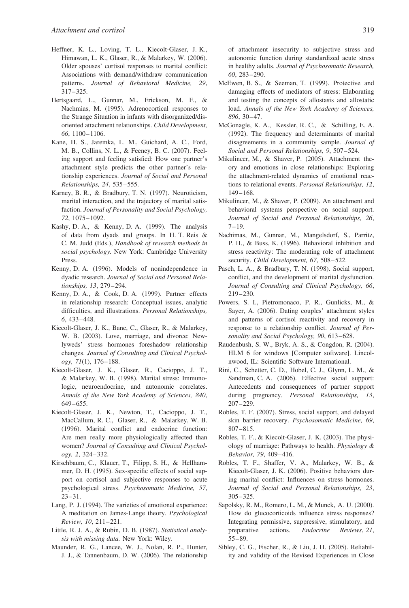- Heffner, K. L., Loving, T. L., Kiecolt-Glaser, J. K., Himawan, L. K., Glaser, R., & Malarkey, W. (2006). Older spouses' cortisol responses to marital conflict: Associations with demand/withdraw communication patterns. *Journal of Behavioral Medicine, 29*, 317–325.
- Hertsgaard, L., Gunnar, M., Erickson, M. F., & Nachmias, M. (1995). Adrenocortical responses to the Strange Situation in infants with disorganized/disoriented attachment relationships. *Child Development, 66*, 1100–1106.
- Kane, H. S., Jaremka, L. M., Guichard, A. C., Ford, M. B., Collins, N. L., & Feeney, B. C. (2007). Feeling support and feeling satisfied: How one partner's attachment style predicts the other partner's relationship experiences. *Journal of Social and Personal Relationships, 24*, 535–555.
- Karney, B. R., & Bradbury, T. N. (1997). Neuroticism, marital interaction, and the trajectory of marital satisfaction. *Journal of Personality and Social Psychology, 72*, 1075–1092.
- Kashy, D. A., & Kenny, D. A. (1999). The analysis of data from dyads and groups. In H. T. Reis & C. M. Judd (Eds.), *Handbook of research methods in social psychology.* New York: Cambridge University Press.
- Kenny, D. A. (1996). Models of nonindependence in dyadic research. *Journal of Social and Personal Relationships, 13*, 279–294.
- Kenny, D. A., & Cook, D. A. (1999). Partner effects in relationship research: Conceptual issues, analytic difficulties, and illustrations. *Personal Relationships, 6*, 433–448.
- Kiecolt-Glaser, J. K., Bane, C., Glaser, R., & Malarkey, W. B. (2003). Love, marriage, and divorce: Newlyweds' stress hormones foreshadow relationship changes. *Journal of Consulting and Clinical Psychology, 71*(1), 176–188.
- Kiecolt-Glaser, J. K., Glaser, R., Cacioppo, J. T., & Malarkey, W. B. (1998). Marital stress: Immunologic, neuroendocrine, and autonomic correlates. *Annals of the New York Academy of Sciences, 840*, 649–655.
- Kiecolt-Glaser, J. K., Newton, T., Cacioppo, J. T., MacCallum, R. C., Glaser, R., & Malarkey, W. B. (1996). Marital conflict and endocrine function: Are men really more physiologically affected than women? *Journal of Consulting and Clinical Psychology, 2*, 324–332.
- Kirschbaum, C., Klauer, T., Filipp, S. H., & Hellhammer, D. H. (1995). Sex-specific effects of social support on cortisol and subjective responses to acute psychological stress. *Psychosomatic Medicine, 57*, 23–31.
- Lang, P. J. (1994). The varieties of emotional experience: A meditation on James-Lange theory. *Psychological Review, 10*, 211–221.
- Little, R. J. A., & Rubin, D. B. (1987). *Statistical analysis with missing data.* New York: Wiley.
- Maunder, R. G., Lancee, W. J., Nolan, R. P., Hunter, J. J., & Tannenbaum, D. W. (2006). The relationship

of attachment insecurity to subjective stress and autonomic function during standardized acute stress in healthy adults. *Journal of Psychosomatic Research, 60*, 283–290.

- McEwen, B. S., & Seeman, T. (1999). Protective and damaging effects of mediators of stress: Elaborating and testing the concepts of allostasis and allostatic load. *Annals of the New York Academy of Sciences, 896*, 30–47.
- McGonagle, K. A., Kessler, R. C., & Schilling, E. A. (1992). The frequency and determinants of marital disagreements in a community sample. *Journal of Social and Personal Relationships, 9*, 507–524.
- Mikulincer, M., & Shaver, P. (2005). Attachment theory and emotions in close relationships: Exploring the attachment-related dynamics of emotional reactions to relational events. *Personal Relationships, 12*, 149–168.
- Mikulincer, M., & Shaver, P. (2009). An attachment and behavioral systems perspective on social support. *Journal of Social and Personal Relationships, 26*, 7–19.
- Nachimas, M., Gunnar, M., Mangelsdorf, S., Parritz, P. H., & Buss, K. (1996). Behavioral inhibition and stress reactivity: The moderating role of attachment security. *Child Development, 67*, 508–522.
- Pasch, L. A., & Bradbury, T. N. (1998). Social support, conflict, and the development of marital dysfunction. *Journal of Consulting and Clinical Psychology, 66*, 219–230.
- Powers, S. I., Pietromonaco, P. R., Gunlicks, M., & Sayer, A. (2006). Dating couples' attachment styles and patterns of cortisol reactivity and recovery in response to a relationship conflict. *Journal of Personality and Social Psychology, 90*, 613–628.
- Raudenbush, S. W., Bryk, A. S., & Congdon, R. (2004). HLM 6 for windows [Computer software]. Lincolnwood, IL: Scientific Software International.
- Rini, C., Schetter, C. D., Hobel, C. J., Glynn, L. M., & Sandman, C. A. (2006). Effective social support: Antecedents and consequences of partner support during pregnancy. *Personal Relationships, 13*, 207–229.
- Robles, T. F. (2007). Stress, social support, and delayed skin barrier recovery. *Psychosomatic Medicine, 69*, 807–815.
- Robles, T. F., & Kiecolt-Glaser, J. K. (2003). The physiology of marriage: Pathways to health. *Physiology & Behavior, 79*, 409–416.
- Robles, T. F., Shaffer, V. A., Malarkey, W. B., & Kiecolt-Glaser, J. K. (2006). Positive behaviors during marital conflict: Influences on stress hormones. *Journal of Social and Personal Relationships, 23*, 305–325.
- Sapolsky, R. M., Romero, L. M., & Munck, A. U. (2000). How do glucocorticoids influence stress responses? Integrating permissive, suppressive, stimulatory, and preparative actions. *Endocrine Reviews*, *21*, 55–89.
- Sibley, C. G., Fischer, R., & Liu, J. H. (2005). Reliability and validity of the Revised Experiences in Close